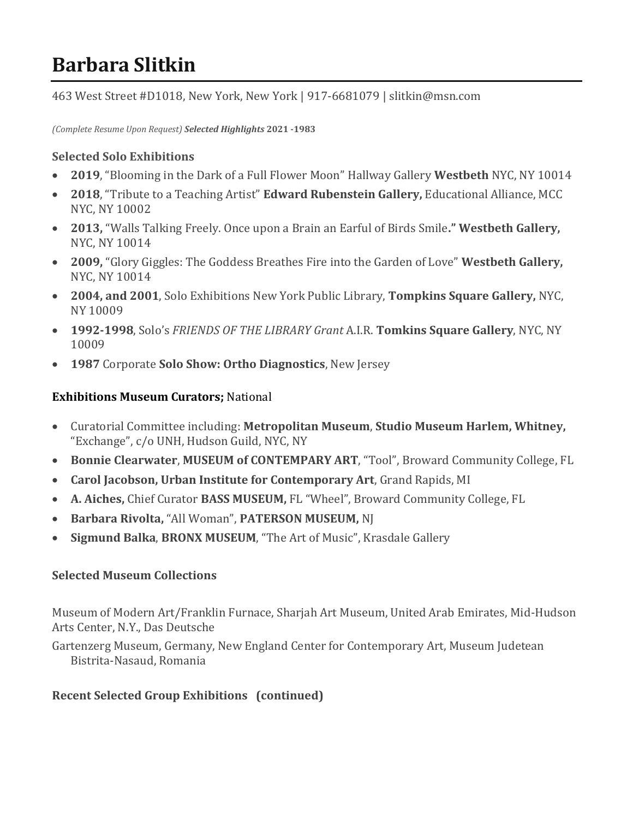# **Barbara Slitkin**

463 West Street #D1018, New York, New York | 917-6681079 | slitkin@msn.com

*(Complete Resume Upon Request) Selected Highlights* **2021 -1983**

### **Selected Solo Exhibitions**

- **2019**, "Blooming in the Dark of a Full Flower Moon" Hallway Gallery **Westbeth** NYC, NY 10014
- **2018**, "Tribute to a Teaching Artist" **Edward Rubenstein Gallery,** Educational Alliance, MCC NYC, NY 10002
- **2013,** "Walls Talking Freely. Once upon a Brain an Earful of Birds Smile**." Westbeth Gallery,**  NYC, NY 10014
- **2009,** "Glory Giggles: The Goddess Breathes Fire into the Garden of Love" **Westbeth Gallery,** NYC, NY 10014
- **2004, and 2001**, Solo Exhibitions New York Public Library, **Tompkins Square Gallery,** NYC, NY 10009
- **1992-1998**, Solo's *FRIENDS OF THE LIBRARY Grant* A.I.R. **Tomkins Square Gallery**, NYC, NY 10009
- **1987** Corporate **Solo Show: Ortho Diagnostics**, New Jersey

## **Exhibitions Museum Curators;** National

- Curatorial Committee including: **Metropolitan Museum**, **Studio Museum Harlem, Whitney,** "Exchange", c/o UNH, Hudson Guild, NYC, NY
- **Bonnie Clearwater**, **MUSEUM of CONTEMPARY ART**, "Tool", Broward Community College, FL
- **Carol Jacobson, Urban Institute for Contemporary Art**, Grand Rapids, MI
- **A. Aiches,** Chief Curator **BASS MUSEUM,** FL "Wheel", Broward Community College, FL
- **Barbara Rivolta,** "All Woman", **PATERSON MUSEUM,** NJ
- **Sigmund Balka**, **BRONX MUSEUM**, "The Art of Music", Krasdale Gallery

#### **Selected Museum Collections**

Museum of Modern Art/Franklin Furnace, Sharjah Art Museum, United Arab Emirates, Mid-Hudson Arts Center, N.Y., Das Deutsche

Gartenzerg Museum, Germany, New England Center for Contemporary Art, Museum Judetean Bistrita-Nasaud, Romania

# **Recent Selected Group Exhibitions (continued)**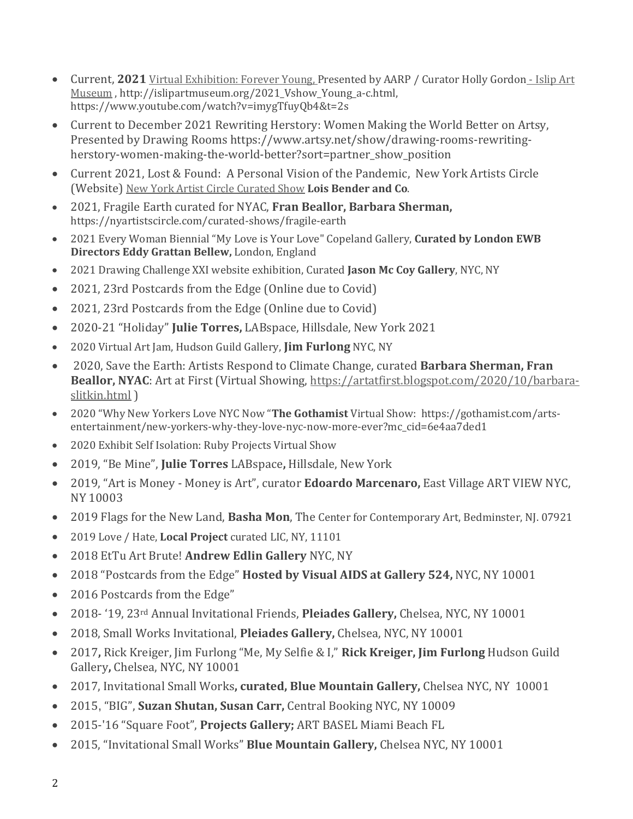- Current, **2021** [Virtual Exhibition: Forever Young, Presented by AARP / Curator Holly Gordon](https://www.islipartmuseum.org/2021_Vshow_Young.html) Islip Art [Museum](https://www.islipartmuseum.org/2021_Vshow_Young.html) , http://islipartmuseum.org/2021\_Vshow\_Young\_a-c.html, https://www.youtube.com/watch?v=imygTfuyQb4&t=2s
- Current to December 2021 Rewriting Herstory: Women Making the World Better on Artsy, Presented by Drawing Rooms https://www.artsy.net/show/drawing-rooms-rewritingherstory-women-making-the-world-better?sort=partner\_show\_position
- Current 2021, Lost & Found: A Personal Vision of the Pandemic, New York Artists Circle (Website) [New York Artist Circle Curated Show](http://nyartistscircle.com/curated-shows/lost-and-found) **Lois Bender and Co**.
- 2021, Fragile Earth curated for NYAC, **Fran Beallor, Barbara Sherman,** https://nyartistscircle.com/curated-shows/fragile-earth
- 2021 Every Woman Biennial "My Love is Your Love" Copeland Gallery, **Curated by London EWB Directors Eddy Grattan Bellew,** London, England
- 2021 Drawing Challenge XXI website exhibition, Curated **Jason Mc Coy Gallery**, NYC, NY
- 2021, 23rd Postcards from the Edge (Online due to Covid)
- 2021, 23rd Postcards from the Edge (Online due to Covid)
- 2020-21 "Holiday" **Julie Torres,** LABspace, Hillsdale, New York 2021
- 2020 Virtual Art Jam, Hudson Guild Gallery, **Jim Furlong** NYC, NY
- 2020, Save the Earth: Artists Respond to Climate Change, curated **Barbara Sherman, Fran Beallor, NYAC**: Art at First (Virtual Showing, [https://artatfirst.blogspot.com/2020/10/barbara](https://artatfirst.blogspot.com/2020/10/barbara-slitkin.html)[slitkin.html](https://artatfirst.blogspot.com/2020/10/barbara-slitkin.html) )
- 2020 "Why New Yorkers Love NYC Now "**The Gothamist** Virtual Show: https://gothamist.com/artsentertainment/new-yorkers-why-they-love-nyc-now-more-ever?mc\_cid=6e4aa7ded1
- 2020 Exhibit Self Isolation: Ruby Projects Virtual Show
- 2019, "Be Mine", **Julie Torres** LABspace**,** Hillsdale, New York
- 2019, "Art is Money Money is Art", curator **Edoardo Marcenaro,** East Village ART VIEW NYC, NY 10003
- 2019 Flags for the New Land, **Basha Mon**, The Center for Contemporary Art, Bedminster, NJ. 07921
- 2019 Love / Hate, **Local Project** curated LIC, NY, 11101
- 2018 EtTu Art Brute! **Andrew Edlin Gallery** NYC, NY
- 2018 "Postcards from the Edge" **Hosted by Visual AIDS at Gallery 524,** NYC, NY 10001
- 2016 Postcards from the Edge"
- 2018- '19, 23rd Annual Invitational Friends, **Pleiades Gallery,** Chelsea, NYC, NY 10001
- 2018, Small Works Invitational, **Pleiades Gallery,** Chelsea, NYC, NY 10001
- 2017**,** Rick Kreiger, Jim Furlong "Me, My Selfie & I," **Rick Kreiger, Jim Furlong** Hudson Guild Gallery**,** Chelsea, NYC, NY 10001
- 2017, Invitational Small Works**, curated, Blue Mountain Gallery,** Chelsea NYC, NY 10001
- 2015, "BIG", **Suzan Shutan, Susan Carr,** Central Booking NYC, NY 10009
- 2015-'16 "Square Foot", **Projects Gallery;** ART BASEL Miami Beach FL
- 2015, "Invitational Small Works" **Blue Mountain Gallery,** Chelsea NYC, NY 10001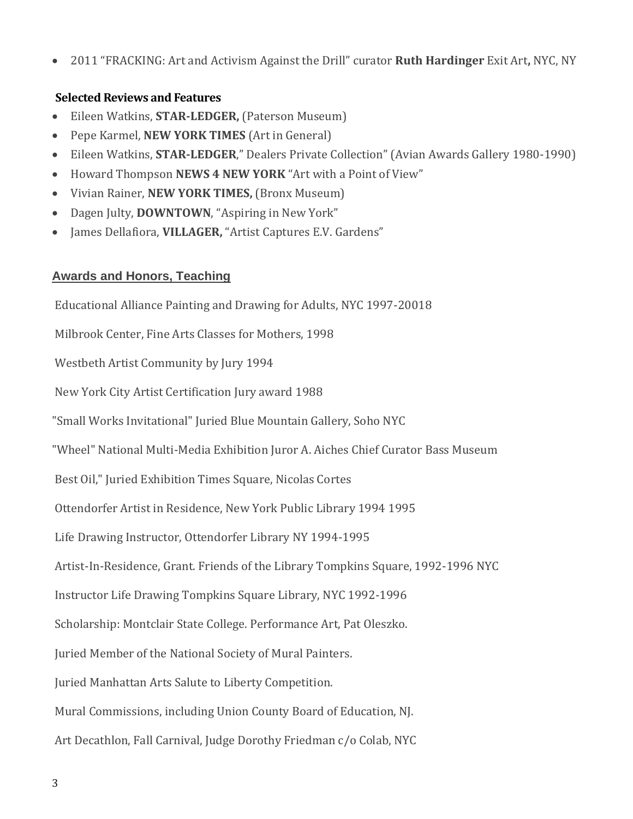• 2011 "FRACKING: Art and Activism Against the Drill" curator **Ruth Hardinger** Exit Art**,** NYC, NY

#### **Selected Reviews and Features**

- Eileen Watkins, **STAR-LEDGER,** (Paterson Museum)
- Pepe Karmel, **NEW YORK TIMES** (Art in General)
- Eileen Watkins, **STAR-LEDGER**," Dealers Private Collection" (Avian Awards Gallery 1980-1990)
- Howard Thompson **NEWS 4 NEW YORK** "Art with a Point of View"
- Vivian Rainer, **NEW YORK TIMES,** (Bronx Museum)
- Dagen Julty, **DOWNTOWN**, "Aspiring in New York"
- James Dellafiora, **VILLAGER,** "Artist Captures E.V. Gardens"

#### **Awards and Honors, Teaching**

Educational Alliance Painting and Drawing for Adults, NYC 1997-20018 Milbrook Center, Fine Arts Classes for Mothers, 1998 Westbeth Artist Community by Jury 1994 New York City Artist Certification Jury award 1988 "Small Works Invitational" Juried Blue Mountain Gallery, Soho NYC "Wheel" National Multi-Media Exhibition Juror A. Aiches Chief Curator Bass Museum Best Oil," Juried Exhibition Times Square, Nicolas Cortes Ottendorfer Artist in Residence, New York Public Library 1994 1995 Life Drawing Instructor, Ottendorfer Library NY 1994-1995 Artist-In-Residence, Grant. Friends of the Library Tompkins Square, 1992-1996 NYC Instructor Life Drawing Tompkins Square Library, NYC 1992-1996 Scholarship: Montclair State College. Performance Art, Pat Oleszko. Juried Member of the National Society of Mural Painters. Juried Manhattan Arts Salute to Liberty Competition. Mural Commissions, including Union County Board of Education, NJ. Art Decathlon, Fall Carnival, Judge Dorothy Friedman c/o Colab, NYC